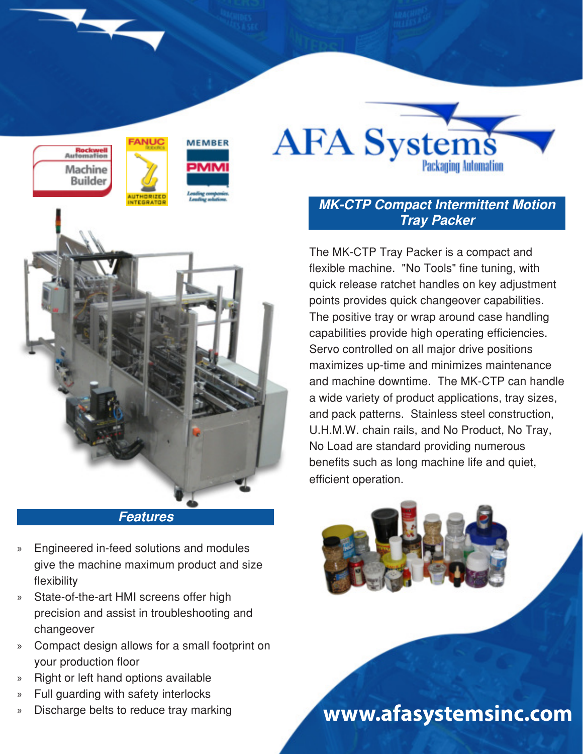



## **MK-CTP Compact Intermittent Motion Tray Packer**

The MK-CTP Tray Packer is a compact and flexible machine. "No Tools" fine tuning, with quick release ratchet handles on key adjustment points provides quick changeover capabilities. The positive tray or wrap around case handling capabilities provide high operating efficiencies. Servo controlled on all major drive positions maximizes up-time and minimizes maintenance and machine downtime. The MK-CTP can handle a wide variety of product applications, tray sizes, and pack patterns. Stainless steel construction, U.H.M.W. chain rails, and No Product, No Tray, No Load are standard providing numerous benefits such as long machine life and quiet, efficient operation.



## **Features**

- » Engineered in-feed solutions and modules give the machine maximum product and size flexibility
- » State-of-the-art HMI screens offer high precision and assist in troubleshooting and changeover
- » Compact design allows for a small footprint on your production floor
- » Right or left hand options available
- » Full guarding with safety interlocks
- 

» Discharge belts to reduce tray marking **www.afasystemsinc.com**